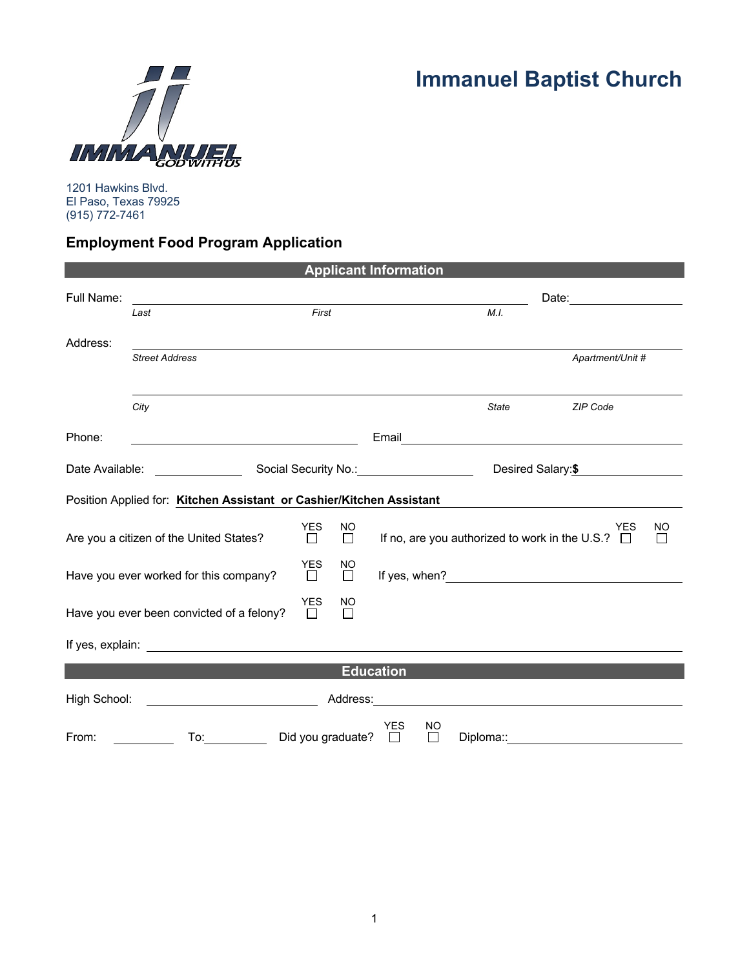

**Immanuel Baptist Church**

1201 Hawkins Blvd. El Paso, Texas 79925 (915) 772-7461

## **Employment Food Program Application**

|                                                                                                                                                                                                                                                     |                                                                      |                      |              | <b>Applicant Information</b> |              |                                                                                                                                                                                                                                |  |
|-----------------------------------------------------------------------------------------------------------------------------------------------------------------------------------------------------------------------------------------------------|----------------------------------------------------------------------|----------------------|--------------|------------------------------|--------------|--------------------------------------------------------------------------------------------------------------------------------------------------------------------------------------------------------------------------------|--|
| Full Name:                                                                                                                                                                                                                                          |                                                                      |                      |              |                              |              |                                                                                                                                                                                                                                |  |
|                                                                                                                                                                                                                                                     | Last                                                                 | First                |              |                              | M.I.         |                                                                                                                                                                                                                                |  |
| Address:                                                                                                                                                                                                                                            |                                                                      |                      |              |                              |              |                                                                                                                                                                                                                                |  |
|                                                                                                                                                                                                                                                     | <b>Street Address</b>                                                |                      |              |                              |              | Apartment/Unit #                                                                                                                                                                                                               |  |
|                                                                                                                                                                                                                                                     |                                                                      |                      |              |                              |              |                                                                                                                                                                                                                                |  |
|                                                                                                                                                                                                                                                     | City                                                                 |                      |              |                              | <b>State</b> | ZIP Code                                                                                                                                                                                                                       |  |
| Phone:                                                                                                                                                                                                                                              | <u> 1980 - Johann Barbara, martxa alemaniar a</u>                    |                      |              |                              |              | Email Property of the Commission of the Commission of the Commission of the Commission of the Commission of the Commission of the Commission of the Commission of the Commission of the Commission of the Commission of the Co |  |
|                                                                                                                                                                                                                                                     |                                                                      |                      |              | Desired Salary: \$           |              |                                                                                                                                                                                                                                |  |
|                                                                                                                                                                                                                                                     | Position Applied for: Kitchen Assistant or Cashier/Kitchen Assistant |                      |              |                              |              |                                                                                                                                                                                                                                |  |
| <b>YES</b><br>Are you a citizen of the United States?<br>П                                                                                                                                                                                          |                                                                      |                      | NO<br>$\Box$ |                              |              | <b>YES</b><br>NO<br>If no, are you authorized to work in the U.S.? $\Box$<br>$\mathbf{I}$                                                                                                                                      |  |
|                                                                                                                                                                                                                                                     | Have you ever worked for this company?                               | <b>YES</b><br>$\Box$ | NO<br>$\Box$ |                              |              |                                                                                                                                                                                                                                |  |
|                                                                                                                                                                                                                                                     | Have you ever been convicted of a felony?                            | <b>YES</b><br>П      | NO<br>П      |                              |              |                                                                                                                                                                                                                                |  |
|                                                                                                                                                                                                                                                     |                                                                      |                      |              |                              |              |                                                                                                                                                                                                                                |  |
|                                                                                                                                                                                                                                                     |                                                                      |                      |              | <b>Education</b>             |              |                                                                                                                                                                                                                                |  |
| High School:<br>Address: <u>Communications</u> and the address of the set of the set of the set of the set of the set of the set of the set of the set of the set of the set of the set of the set of the set of the set of the set of the set of t |                                                                      |                      |              |                              |              |                                                                                                                                                                                                                                |  |
| From:                                                                                                                                                                                                                                               | To:                                                                  | Did you graduate?    |              | YES<br>NO<br>П<br>П          | Diploma::    |                                                                                                                                                                                                                                |  |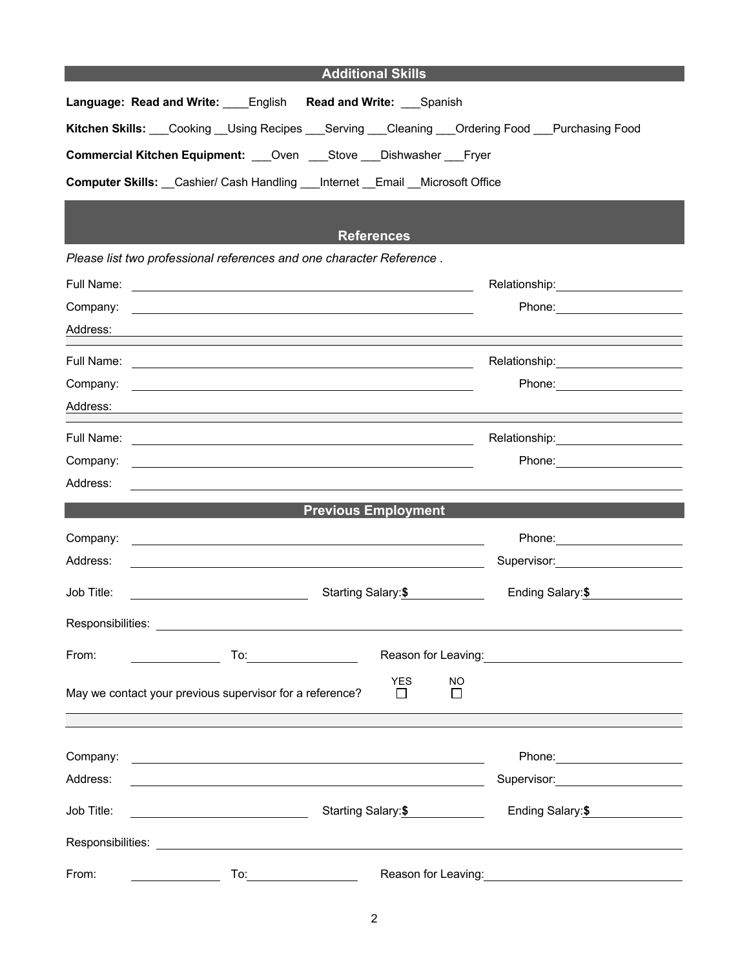## **Additional Skills**

| Language: Read and Write: English Read and Write: Spanish                               |
|-----------------------------------------------------------------------------------------|
| Kitchen Skills: Cooking Using Recipes Serving Cleaning Ordering Food Purchasing Food    |
| <b>Commercial Kitchen Equipment:</b> Oven Stove Dishwasher Fryer                        |
| <b>Computer Skills:</b> Cashier/ Cash Handling ___ Internet __Email __ Microsoft Office |

## **References**

*Please list two professional references and one character Reference .*

| Full Name: | <u> 1989 - Jan Sterlinger, skriuwer fan it ferstjer fan de fan it ferstjer fan it ferstjer fan it ferstjer fan it</u>                                                                                                               |                                                   |
|------------|-------------------------------------------------------------------------------------------------------------------------------------------------------------------------------------------------------------------------------------|---------------------------------------------------|
| Company:   |                                                                                                                                                                                                                                     | Phone: 2008                                       |
| Address:   |                                                                                                                                                                                                                                     |                                                   |
|            | Full Name: <u>International Accounts</u> and The Contract of the Contract of the Contract of the Contract of the Contract of the Contract of the Contract of the Contract of the Contract of the Contract of the Contract of the Co |                                                   |
| Company:   | and the control of the control of the control of the control of the control of the control of the control of the                                                                                                                    |                                                   |
| Address:   |                                                                                                                                                                                                                                     |                                                   |
| Full Name: | <u> 1990 - John Barn Barn, amerikan bandar bandar bandar bandar bandar bandar bandar bandar bandar bandar bandar</u>                                                                                                                | Relationship: _____________________               |
| Company:   |                                                                                                                                                                                                                                     |                                                   |
| Address:   |                                                                                                                                                                                                                                     |                                                   |
|            | <b>Previous Employment</b>                                                                                                                                                                                                          |                                                   |
|            |                                                                                                                                                                                                                                     |                                                   |
| Company:   | the control of the control of the control of the control of the control of the control of the control of the control of the control of the control of the control of the control of the control of the control of the control       |                                                   |
| Address:   | <u> 1980 - Andrea Barbara, amerikan basar dan berasal dalam berasal dalam berasal dalam berasal dalam berasal da</u>                                                                                                                | Supervisor: Supervisor:                           |
| Job Title: | Starting Salary:\$                                                                                                                                                                                                                  | Ending Salary:\$                                  |
|            |                                                                                                                                                                                                                                     |                                                   |
| From:      | To: _________________________                                                                                                                                                                                                       | Reason for Leaving:<br><u>Neason</u> for Leaving: |
|            |                                                                                                                                                                                                                                     |                                                   |
|            | <b>YES</b><br>NO<br>May we contact your previous supervisor for a reference?<br>$\Box$<br>П                                                                                                                                         |                                                   |
|            |                                                                                                                                                                                                                                     |                                                   |
|            |                                                                                                                                                                                                                                     |                                                   |
| Company:   |                                                                                                                                                                                                                                     | Phone: _________________________                  |
| Address:   |                                                                                                                                                                                                                                     | Supervisor: Victor Communication Communication    |
| Job Title: | Starting Salary:\$                                                                                                                                                                                                                  | Ending Salary:\$                                  |
|            | Responsibilities: <b>Example 2018</b>                                                                                                                                                                                               |                                                   |
| From:      | To:<br>Reason for Leaving:                                                                                                                                                                                                          |                                                   |